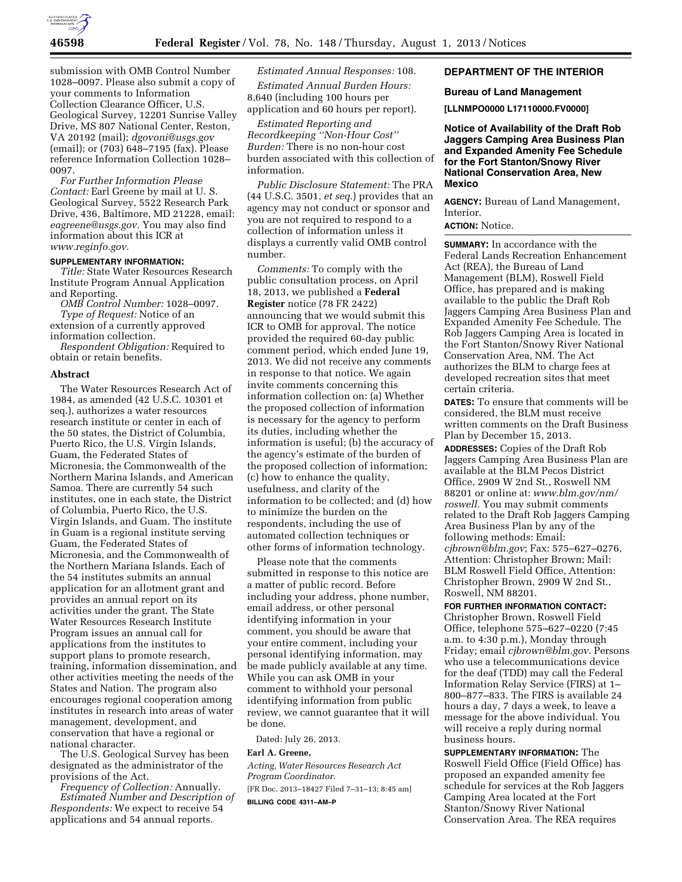

submission with OMB Control Number 1028–0097. Please also submit a copy of your comments to Information Collection Clearance Officer, U.S. Geological Survey, 12201 Sunrise Valley Drive, MS 807 National Center, Reston, VA 20192 (mail); *[dgovoni@usgs.gov](mailto:dgovoni@usgs.gov)*  (email); or (703) 648–7195 (fax). Please reference Information Collection 1028– 0097.

*For Further Information Please Contact:* Earl Greene by mail at U. S. Geological Survey, 5522 Research Park Drive, 436, Baltimore, MD 21228, email: *[eagreene@usgs.gov.](mailto:eagreene@usgs.gov)* You may also find information about this ICR at *[www.reginfo.gov.](http://www.reginfo.gov)* 

## **SUPPLEMENTARY INFORMATION:**

*Title:* State Water Resources Research Institute Program Annual Application and Reporting.

*OMB Control Number:* 1028–0097. *Type of Request:* Notice of an extension of a currently approved information collection.

*Respondent Obligation:* Required to obtain or retain benefits.

### **Abstract**

The Water Resources Research Act of 1984, as amended (42 U.S.C. 10301 et seq.), authorizes a water resources research institute or center in each of the 50 states, the District of Columbia, Puerto Rico, the U.S. Virgin Islands, Guam, the Federated States of Micronesia, the Commonwealth of the Northern Marina Islands, and American Samoa. There are currently 54 such institutes, one in each state, the District of Columbia, Puerto Rico, the U.S. Virgin Islands, and Guam. The institute in Guam is a regional institute serving Guam, the Federated States of Micronesia, and the Commonwealth of the Northern Mariana Islands. Each of the 54 institutes submits an annual application for an allotment grant and provides an annual report on its activities under the grant. The State Water Resources Research Institute Program issues an annual call for applications from the institutes to support plans to promote research, training, information dissemination, and other activities meeting the needs of the States and Nation. The program also encourages regional cooperation among institutes in research into areas of water management, development, and conservation that have a regional or national character.

The U.S. Geological Survey has been designated as the administrator of the provisions of the Act.

*Frequency of Collection:* Annually. *Estimated Number and Description of Respondents:* We expect to receive 54 applications and 54 annual reports.

# *Estimated Annual Responses:* 108.

*Estimated Annual Burden Hours:*  8,640 (including 100 hours per application and 60 hours per report).

*Estimated Reporting and Recordkeeping ''Non-Hour Cost'' Burden:* There is no non-hour cost burden associated with this collection of information.

*Public Disclosure Statement:* The PRA (44 U.S.C. 3501, *et seq.*) provides that an agency may not conduct or sponsor and you are not required to respond to a collection of information unless it displays a currently valid OMB control number.

*Comments:* To comply with the public consultation process, on April 18, 2013, we published a **Federal Register** notice (78 FR 2422) announcing that we would submit this ICR to OMB for approval. The notice provided the required 60-day public comment period, which ended June 19, 2013. We did not receive any comments in response to that notice. We again invite comments concerning this information collection on: (a) Whether the proposed collection of information is necessary for the agency to perform its duties, including whether the information is useful; (b) the accuracy of the agency's estimate of the burden of the proposed collection of information; (c) how to enhance the quality, usefulness, and clarity of the information to be collected; and (d) how to minimize the burden on the respondents, including the use of automated collection techniques or other forms of information technology.

Please note that the comments submitted in response to this notice are a matter of public record. Before including your address, phone number, email address, or other personal identifying information in your comment, you should be aware that your entire comment, including your personal identifying information, may be made publicly available at any time. While you can ask OMB in your comment to withhold your personal identifying information from public review, we cannot guarantee that it will be done.

Dated: July 26, 2013.

### **Earl A. Greene,**

*Acting, Water Resources Research Act Program Coordinator.*  [FR Doc. 2013–18427 Filed 7–31–13; 8:45 am] **BILLING CODE 4311–AM–P** 

## **DEPARTMENT OF THE INTERIOR**

### **Bureau of Land Management**

**[LLNMPO0000 L17110000.FV0000]** 

**Notice of Availability of the Draft Rob Jaggers Camping Area Business Plan and Expanded Amenity Fee Schedule for the Fort Stanton/Snowy River National Conservation Area, New Mexico** 

**AGENCY:** Bureau of Land Management, Interior.

## **ACTION:** Notice.

**SUMMARY:** In accordance with the Federal Lands Recreation Enhancement Act (REA), the Bureau of Land Management (BLM), Roswell Field Office, has prepared and is making available to the public the Draft Rob Jaggers Camping Area Business Plan and Expanded Amenity Fee Schedule. The Rob Jaggers Camping Area is located in the Fort Stanton/Snowy River National Conservation Area, NM. The Act authorizes the BLM to charge fees at developed recreation sites that meet certain criteria.

**DATES:** To ensure that comments will be considered, the BLM must receive written comments on the Draft Business Plan by December 15, 2013.

**ADDRESSES:** Copies of the Draft Rob Jaggers Camping Area Business Plan are available at the BLM Pecos District Office, 2909 W 2nd St., Roswell NM 88201 or online at: *[www.blm.gov/nm/](http://www.blm.gov/nm/roswell)  roswell*. You may submit comments related to the Draft Rob Jaggers Camping Area Business Plan by any of the following methods: Email: *[cjbrown@blm.gov](mailto:cjbrown@blm.gov)*; Fax: 575–627–0276, Attention: Christopher Brown; Mail: BLM Roswell Field Office, Attention: Christopher Brown, 2909 W 2nd St., Roswell, NM 88201.

**FOR FURTHER INFORMATION CONTACT:** 

Christopher Brown, Roswell Field Office, telephone 575–627–0220 (7:45 a.m. to 4:30 p.m.), Monday through Friday; email *[cjbrown@blm.gov.](mailto:cjbrown@blm.gov)* Persons who use a telecommunications device for the deaf (TDD) may call the Federal Information Relay Service (FIRS) at 1– 800–877–833. The FIRS is available 24 hours a day, 7 days a week, to leave a message for the above individual. You will receive a reply during normal business hours.

**SUPPLEMENTARY INFORMATION:** The Roswell Field Office (Field Office) has proposed an expanded amenity fee schedule for services at the Rob Jaggers Camping Area located at the Fort Stanton/Snowy River National Conservation Area. The REA requires